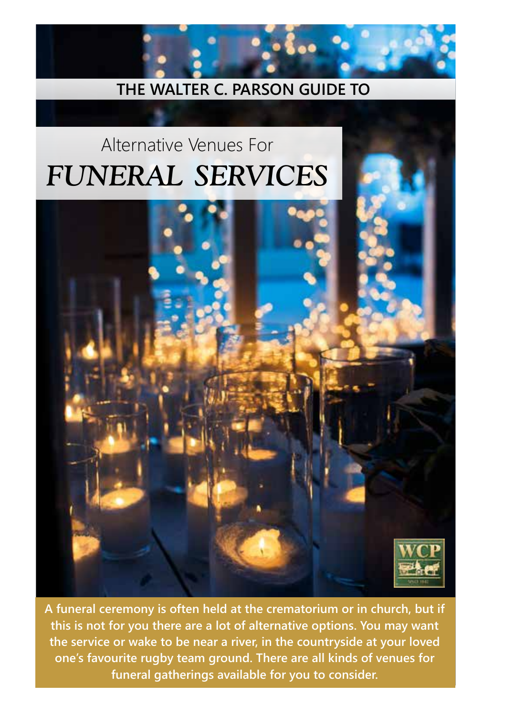# **THE WALTER C. PARSON GUIDE TO**

# Alternative Venues For *FUNERAL SERVICES*



**A funeral ceremony is often held at the crematorium or in church, but if this is not for you there are a lot of alternative options. You may want the service or wake to be near a river, in the countryside at your loved one's favourite rugby team ground. There are all kinds of venues for funeral gatherings available for you to consider.**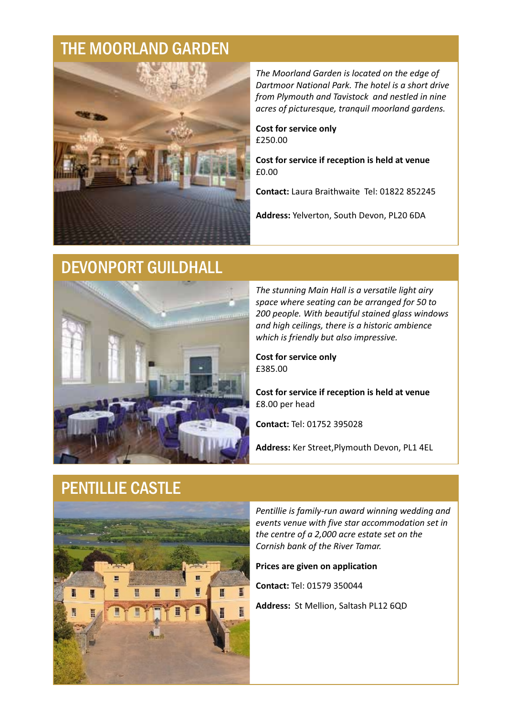#### THE MOORLAND GARDEN



*The Moorland Garden is located on the edge of Dartmoor National Park. The hotel is a short drive from Plymouth and Tavistock and nestled in nine acres of picturesque, tranquil moorland gardens.*

**Cost for service only** £250.00

**Cost for service if reception is held at venue** £0.00

**Contact:** Laura Braithwaite Tel: 01822 852245

**Address:** Yelverton, South Devon, PL20 6DA

### DEVONPORT GUILDHALL



*The stunning Main Hall is a versatile light airy space where seating can be arranged for 50 to 200 people. With beautiful stained glass windows and high ceilings, there is a historic ambience which is friendly but also impressive.*

**Cost for service only** £385.00

£8.00 per head **Cost for service if reception is held at venue**

**Contact:** Tel: 01752 395028

**Address:** Ker Street,Plymouth Devon, PL1 4EL

### PENTILLIE CASTLE



*Pentillie is family-run award winning wedding and events venue with five star accommodation set in the centre of a 2,000 acre estate set on the Cornish bank of the River Tamar.*

**Prices are given on application** 

**Contact:** Tel: 01579 350044

**Address:** St Mellion, Saltash PL12 6QD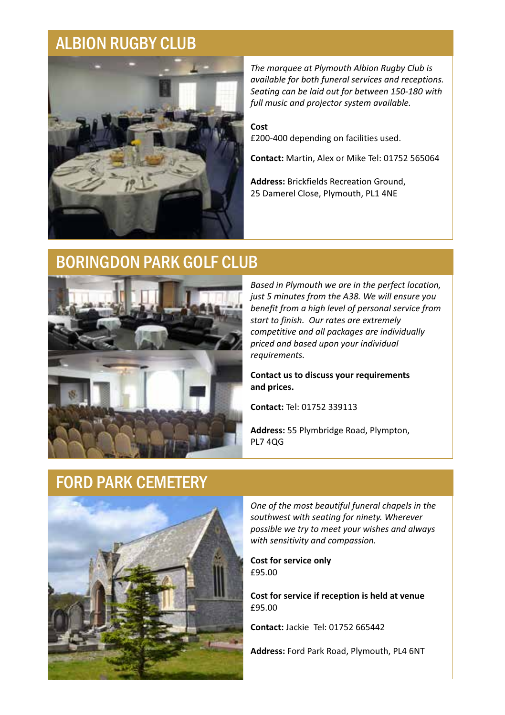# ALBION RUGBY CLUB



*The marquee at Plymouth Albion Rugby Club is available for both funeral services and receptions. Seating can be laid out for between 150-180 with full music and projector system available.* 

£200-400 depending on facilities used. **Cost** 

**Contact:** Martin, Alex or Mike Tel: 01752 565064

**Address:** Brickfields Recreation Ground, 25 Damerel Close, Plymouth, PL1 4NE

# BORINGDON PARK GOLF CLUB



*Based in Plymouth we are in the perfect location, just 5 minutes from the A38. We will ensure you benefit from a high level of personal service from start to finish. Our rates are extremely competitive and all packages are individually priced and based upon your individual requirements.*

**Contact us to discuss your requirements and prices.**

**Contact:** Tel: 01752 339113

**Address:** 55 Plymbridge Road, Plympton, PL7 4QG

#### FORD PARK CEMETERY



*One of the most beautiful funeral chapels in the southwest with seating for ninety. Wherever possible we try to meet your wishes and always with sensitivity and compassion.*

£95.00 **Cost for service only**

**Cost for service if reception is held at venue** £95.00

**Contact:** Jackie Tel: 01752 665442

**Address:** Ford Park Road, Plymouth, PL4 6NT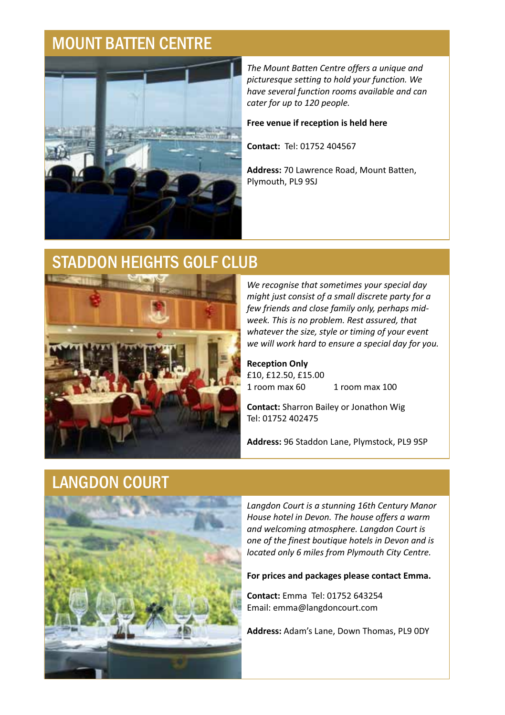# MOUNT BATTEN CENTRE



*The Mount Batten Centre offers a unique and picturesque setting to hold your function. We have several function rooms available and can cater for up to 120 people.* 

#### **Free venue if reception is held here**

**Contact:** Tel: 01752 404567

Plymouth, PL9 9SJ **Address:** 70 Lawrence Road, Mount Batten,

#### STADDON HEIGHTS GOLF CLUB



*We recognise that sometimes your special day might just consist of a small discrete party for a few friends and close family only, perhaps midweek. This is no problem. Rest assured, that whatever the size, style or timing of your event we will work hard to ensure a special day for you.*

**Reception Only** £10, £12.50, £15.00<br>1 room max 60 1 room max  $100$ 

**Contact:** Sharron Bailey or Jonathon Wig Tel: 01752 402475

**Address:** 96 Staddon Lane, Plymstock, PL9 9SP

#### LANGDON COURT



*Langdon Court is a stunning 16th Century Manor House hotel in Devon. The house offers a warm and welcoming atmosphere. Langdon Court is one of the finest boutique hotels in Devon and is located only 6 miles from Plymouth City Centre.*

#### **For prices and packages please contact Emma.**

**Contact:** Emma Tel: 01752 643254 Email: emma@langdoncourt.com

**Address:** Adam's Lane, Down Thomas, PL9 0DY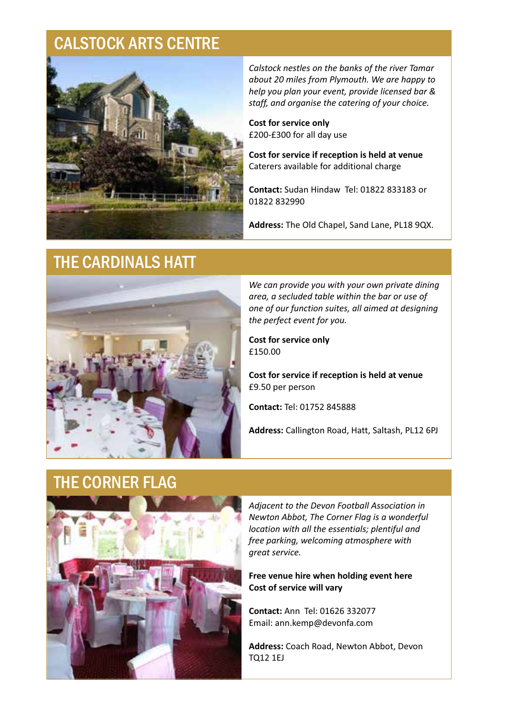# CALSTOCK ARTS CENTRE



*Calstock nestles on the banks of the river Tamar about 20 miles from Plymouth. We are happy to help you plan your event, provide licensed bar & staff, and organise the catering of your choice.*

£200-£300 for all day use **Cost for service only**

**Cost for service if reception is held at venue** Caterers available for additional charge

**Contact:** Sudan Hindaw Tel: 01822 833183 or 01822 832990

**Address:** The Old Chapel, Sand Lane, PL18 9QX.

# THE CARDINALS HATT



*We can provide you with your own private dining area, a secluded table within the bar or use of one of our function suites, all aimed at designing the perfect event for you.*

£150.00 **Cost for service only**

**Cost for service if reception is held at venue** £9.50 per person

**Contact:** Tel: 01752 845888

**Address:** Callington Road, Hatt, Saltash, PL12 6PJ

### THE CORNER FLAG



*Adjacent to the Devon Football Association in Newton Abbot, The Corner Flag is a wonderful location with all the essentials; plentiful and free parking, welcoming atmosphere with great service.* 

#### **Cost of service will vary Free venue hire when holding event here**

**Contact:** Ann Tel: 01626 332077 Email: ann.kemp@devonfa.com

**Address:** Coach Road, Newton Abbot, Devon TQ12 1EJ